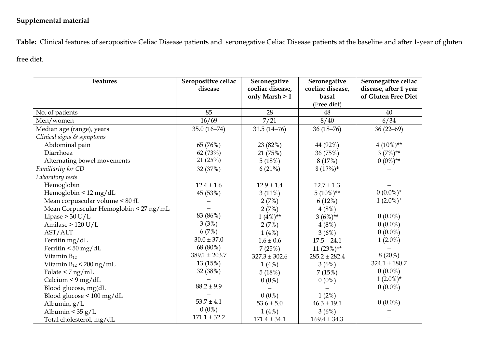## **Supplemental material**

**Table:** Clinical features of seropositive Celiac Disease patients and seronegative Celiac Disease patients at the baseline and after 1-year of gluten

free diet.

| <b>Features</b>                        | Seropositive celiac<br>disease | Seronegative<br>coeliac disease,<br>only Marsh > 1 | Seronegative<br>coeliac disease,<br>basal<br>(Free diet) | Seronegative celiac<br>disease, after 1 year<br>of Gluten Free Diet |
|----------------------------------------|--------------------------------|----------------------------------------------------|----------------------------------------------------------|---------------------------------------------------------------------|
| No. of patients                        | 85                             | 28                                                 | 48                                                       | 40                                                                  |
| Men/women                              | 16/69                          | 7/21                                               | 8/40                                                     | 6/34                                                                |
| Median age (range), years              | $35.0(16-74)$                  | $31.5(14-76)$                                      | $36(18-76)$                                              | $36(22-69)$                                                         |
| Clinical signs & symptoms              |                                |                                                    |                                                          |                                                                     |
| Abdominal pain                         | 65 (76%)                       | 23 (82%)                                           | 44 (92%)                                                 | $4(10\%)**$                                                         |
| Diarrhoea                              | 62(73%)                        | 21 (75%)                                           | 36 (75%)                                                 | $3(7%)**$                                                           |
| Alternating bowel movements            | 21(25%)                        | 5(18%)                                             | 8 (17%)                                                  | $0(0\%)^{**}$                                                       |
| Familiarity for CD                     | 32 (37%)                       | 6(21%)                                             | $8(17%)$ *                                               | $\qquad \qquad -$                                                   |
| Laboratory tests                       |                                |                                                    |                                                          |                                                                     |
| Hemoglobin                             | $12.4 \pm 1.6$                 | $12.9 \pm 1.4$                                     | $12.7 \pm 1.3$                                           |                                                                     |
| Hemoglobin < 12 mg/dL                  | 45 (53%)                       | 3(11%)                                             | $5(10\%)**$                                              | $0(0.0\%)*$                                                         |
| Mean corpuscular volume < 80 fL        |                                | 2(7%)                                              | 6(12%)                                                   | $1(2.0\%)*$                                                         |
| Mean Corpuscular Hemoglobin < 27 ng/mL |                                | 2(7%)                                              | 4(8%)                                                    |                                                                     |
| Lipase $> 30$ U/L                      | 83 (86%)                       | $1(4\%)**$                                         | $3(6%)**$                                                | $0(0.0\%)$                                                          |
| Amilase $> 120$ U/L                    | 3(3%)                          | 2(7%)                                              | $4(8\%)$                                                 | $0(0.0\%)$                                                          |
| AST/ALT                                | 6(7%)                          | 1(4%)                                              | 3(6%)                                                    | $0(0.0\%)$                                                          |
| Ferritin mg/dL                         | $30.0 \pm 37.0$                | $1.6 \pm 0.6$                                      | $17.5 - 24.1$                                            | $1(2.0\%)$                                                          |
| Ferritin < 50 mg/dL                    | 68 (80%)                       | 7(25%)                                             | $11(23\%)**$                                             |                                                                     |
| Vitamin $B_{12}$                       | $389.1 \pm 203.7$              | $327.3 \pm 302.6$                                  | $285.2 \pm 282.4$                                        | $8(20\%)$                                                           |
| Vitamin $B_{12}$ < 200 ng/mL           | 13 (15%)                       | 1(4%)                                              | 3(6%)                                                    | $324.1 \pm 180.7$                                                   |
| Folate $\leq 7$ ng/mL                  | 32 (38%)                       | 5(18%)                                             | 7(15%)                                                   | $0(0.0\%)$                                                          |
| Calcium < $9 \text{ mg/dL}$            |                                | $0(0\%)$                                           | $0(0\%)$                                                 | $1(2.0\%)^*$                                                        |
| Blood glucose, mg(dL                   | $88.2 \pm 9.9$                 |                                                    |                                                          | $0(0.0\%)$                                                          |
| Blood glucose < 100 mg/dL              |                                | $0(0\%)$                                           | $1(2\%)$                                                 |                                                                     |
| Albumin, g/L                           | $53.7 \pm 4.1$                 | $53.6 \pm 5.0$                                     | $46.3 \pm 19.1$                                          | $0(0.0\%)$                                                          |
| Albumin < $35 g/L$                     | $0(0\%)$                       | 1(4%)                                              | 3(6%)                                                    |                                                                     |
| Total cholesterol, mg/dL               | $171.1 \pm 32.2$               | $171.4 \pm 34.1$                                   | $169.4 \pm 34.3$                                         |                                                                     |